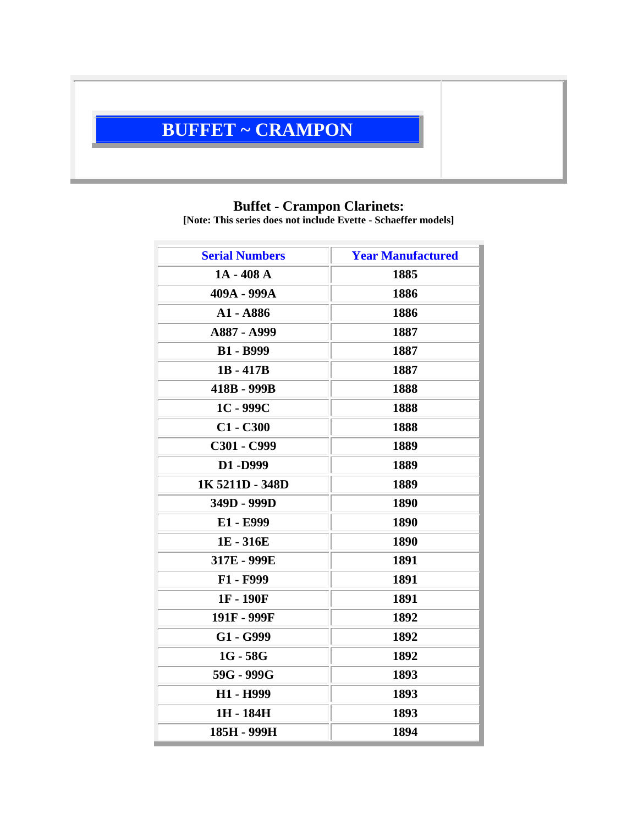# **BUFFET ~ CRAMPON**

#### **Buffet - Crampon Clarinets:**

**[Note: This series does not include Evette - Schaeffer models]**

| <b>Serial Numbers</b> | <b>Year Manufactured</b> |
|-----------------------|--------------------------|
| $1A - 408A$           | 1885                     |
| 409A - 999A           | 1886                     |
| A1 - A886             | 1886                     |
| A887 - A999           | 1887                     |
| <b>B1 - B999</b>      | 1887                     |
| $1B - 417B$           | 1887                     |
| 418B - 999B           | 1888                     |
| $1C - 999C$           | 1888                     |
| $C1 - C300$           | 1888                     |
| C301 - C999           | 1889                     |
| D1-D999               | 1889                     |
| 1K 5211D - 348D       | 1889                     |
| 349D - 999D           | 1890                     |
| E1 - E999             | 1890                     |
| 1E - 316E             | 1890                     |
| 317E - 999E           | 1891                     |
| F1 - F999             | 1891                     |
| 1F-190F               | 1891                     |
| 191F - 999F           | 1892                     |
| G1 - G999             | 1892                     |
| $1G - 58G$            | 1892                     |
| 59G - 999G            | 1893                     |
| H1 - H999             | 1893                     |
| 1H - 184H             | 1893                     |
| 185H - 999H           | 1894                     |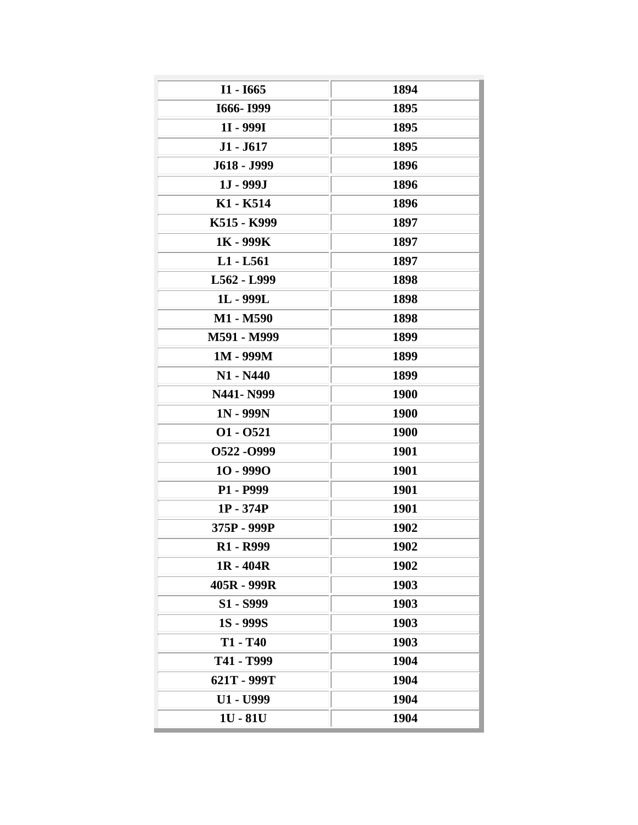| $I1 - 1665$                       | 1894        |
|-----------------------------------|-------------|
| I666-I999                         | 1895        |
| 1I - 999I                         | 1895        |
| $J1 - J617$                       | 1895        |
| J618 - J999                       | 1896        |
| $1J - 999J$                       | 1896        |
| K1 - K514                         | 1896        |
| K515 - K999                       | 1897        |
| 1K - 999K                         | 1897        |
| $L1 - L561$                       | 1897        |
| L562 - L999                       | 1898        |
| 1L - 999L                         | 1898        |
| M1 - M590                         | 1898        |
| M591 - M999                       | 1899        |
| 1M - 999M                         | 1899        |
| $N1 - N440$                       | 1899        |
| N441- N999                        | <b>1900</b> |
| $1N - 999N$                       | 1900        |
| $01 - 0521$                       | 1900        |
| 0522 - 0999                       | 1901        |
| $10 - 9990$                       | 1901        |
| P1 - P999                         | 1901        |
| $1P - 374P$                       | 1901        |
| 375P - 999P                       | 1902        |
| R <sub>1</sub> - R <sub>999</sub> | 1902        |
| $1R - 404R$                       | 1902        |
| 405R - 999R                       | 1903        |
| S1 - S999                         | 1903        |
| <b>1S - 999S</b>                  | 1903        |
| T1 - T40                          | 1903        |
| Т41 - Т999                        | 1904        |
| 621T - 999T                       | 1904        |
| U1 - U999                         | 1904        |
| $1U - 81U$                        | 1904        |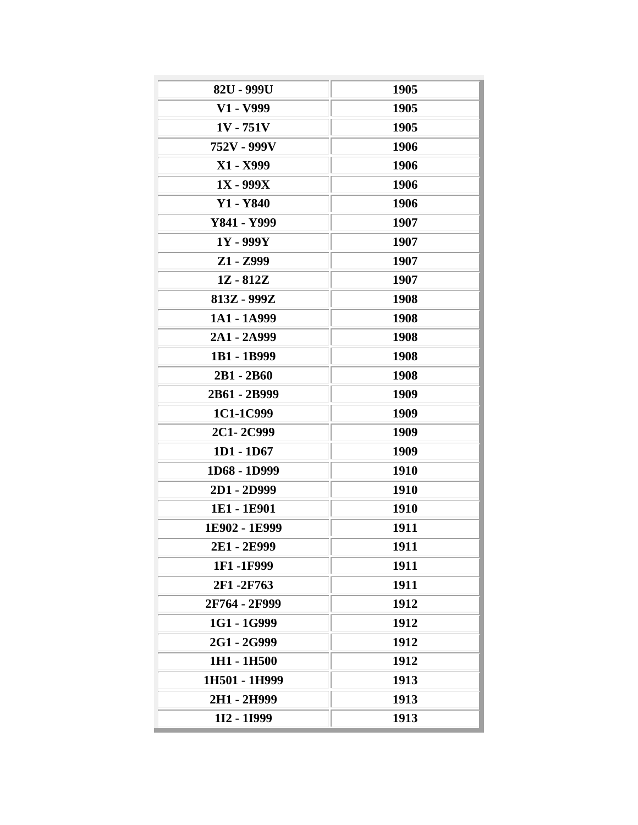| 82U - 999U    | 1905        |
|---------------|-------------|
| V1 - V999     | 1905        |
| $1V - 751V$   | 1905        |
| 752V - 999V   | 1906        |
| X1 - X999     | 1906        |
| $1X - 999X$   | 1906        |
| Y1 - Y840     | 1906        |
| Y841 - Y999   | 1907        |
| $1Y - 999Y$   | 1907        |
| Z1 - Z999     | 1907        |
| $1Z - 812Z$   | 1907        |
| 813Z - 999Z   | 1908        |
| 1A1 - 1A999   | 1908        |
| 2A1 - 2A999   | 1908        |
| 1B1 - 1B999   | 1908        |
| 2B1 - 2B60    | 1908        |
| 2B61 - 2B999  | 1909        |
| 1C1-1C999     | 1909        |
| 2C1-2C999     | 1909        |
| $1D1 - 1D67$  | 1909        |
| 1D68 - 1D999  | 1910        |
| 2D1 - 2D999   | 1910        |
| 1E1 - 1E901   | <b>1910</b> |
| 1E902 - 1E999 | 1911        |
| 2E1 - 2E999   | 1911        |
| 1F1-1F999     | 1911        |
| 2F1-2F763     | 1911        |
| 2F764 - 2F999 | 1912        |
| 1G1 - 1G999   | 1912        |
| 2G1 - 2G999   | 1912        |
| 1H1 - 1H500   | 1912        |
| 1H501 - 1H999 | 1913        |
| 2H1 - 2H999   | 1913        |
| 112 - 11999   | 1913        |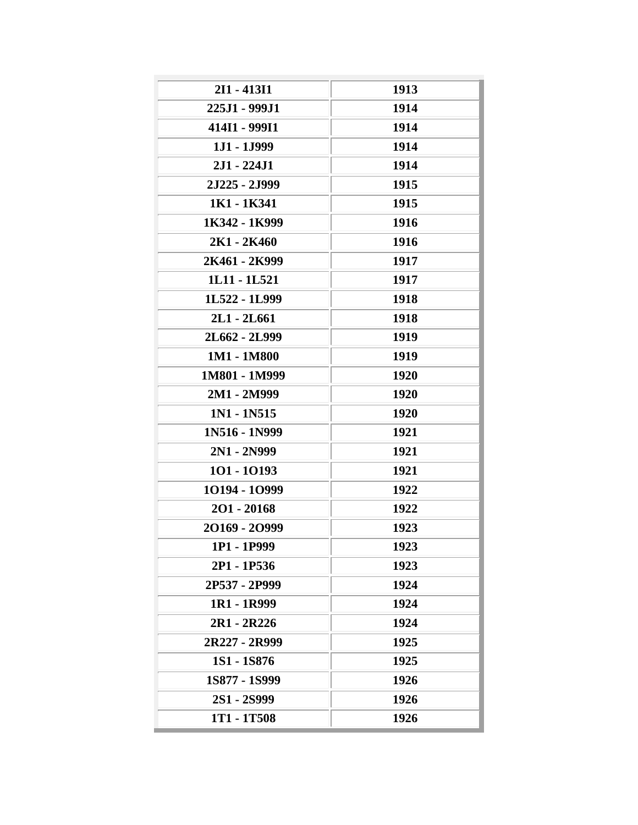| 2I1 - 413I1        | 1913 |
|--------------------|------|
| 225J1 - 999J1      | 1914 |
| 414I1 - 999I1      | 1914 |
| $1J1 - 1J999$      | 1914 |
| $2J1 - 224J1$      | 1914 |
| 2J225 - 2J999      | 1915 |
| 1K1 - 1K341        | 1915 |
| 1K342 - 1K999      | 1916 |
| 2K1 - 2K460        | 1916 |
| 2K461 - 2K999      | 1917 |
| 1L11 - 1L521       | 1917 |
| 1L522 - 1L999      | 1918 |
| 2L1 - 2L661        | 1918 |
| 2L662 - 2L999      | 1919 |
| 1M1 - 1M800        | 1919 |
| 1M801 - 1M999      | 1920 |
| 2M1 - 2M999        | 1920 |
| 1N1 - 1N515        | 1920 |
| 1N516 - 1N999      | 1921 |
| 2N1 - 2N999        | 1921 |
| 101 - 10193        | 1921 |
| 10194 - 10999      | 1922 |
| $201 - 20168$      | 1922 |
| 20169 - 20999      | 1923 |
| 1P1 - 1P999        | 1923 |
| 2P1 - 1P536        | 1923 |
| 2P537 - 2P999      | 1924 |
| 1R1 - 1R999        | 1924 |
| 2R1 - 2R226        | 1924 |
| 2R227 - 2R999      | 1925 |
| <b>1S1 - 1S876</b> | 1925 |
| 1S877 - 1S999      | 1926 |
| 2S1 - 2S999        | 1926 |
| 1T1 - 1T508        | 1926 |
|                    |      |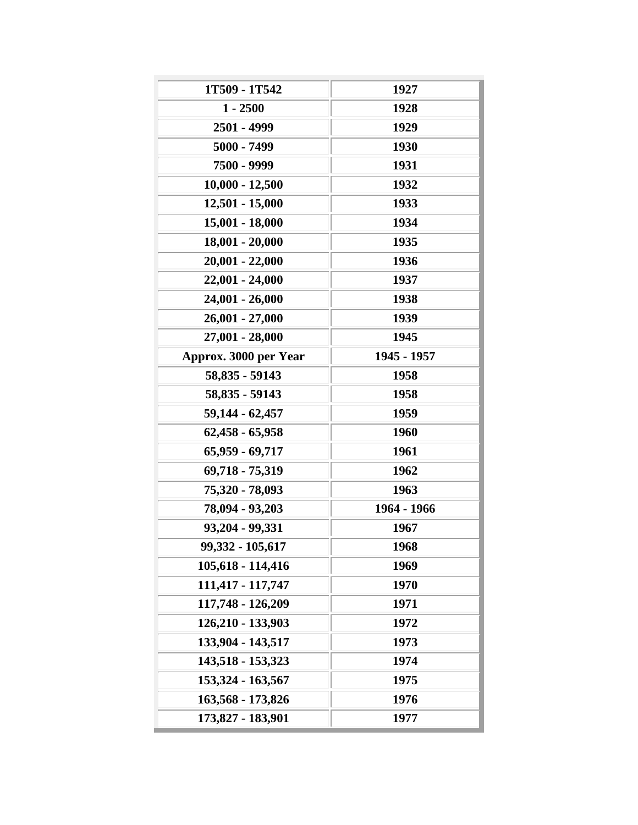| 1T509 - 1T542         | 1927        |
|-----------------------|-------------|
| $1 - 2500$            | 1928        |
| 2501 - 4999           | 1929        |
| 5000 - 7499           | 1930        |
| 7500 - 9999           | 1931        |
| $10,000 - 12,500$     | 1932        |
| $12,501 - 15,000$     | 1933        |
| 15,001 - 18,000       | 1934        |
| $18,001 - 20,000$     | 1935        |
| 20,001 - 22,000       | 1936        |
| 22,001 - 24,000       | 1937        |
| 24,001 - 26,000       | 1938        |
| 26,001 - 27,000       | 1939        |
| 27,001 - 28,000       | 1945        |
| Approx. 3000 per Year | 1945 - 1957 |
| 58,835 - 59143        | 1958        |
| 58,835 - 59143        | 1958        |
| 59,144 - 62,457       | 1959        |
| $62,458 - 65,958$     | 1960        |
| 65,959 - 69,717       | 1961        |
| 69,718 - 75,319       | 1962        |
| 75,320 - 78,093       | 1963        |
| 78,094 - 93,203       | 1964 - 1966 |
| 93,204 - 99,331       | 1967        |
| 99,332 - 105,617      | 1968        |
| 105,618 - 114,416     | 1969        |
| 111,417 - 117,747     | 1970        |
| 117,748 - 126,209     | 1971        |
| 126,210 - 133,903     |             |
|                       | 1972        |
| 133,904 - 143,517     | 1973        |
| 143,518 - 153,323     | 1974        |
| 153,324 - 163,567     | 1975        |
| 163,568 - 173,826     | 1976        |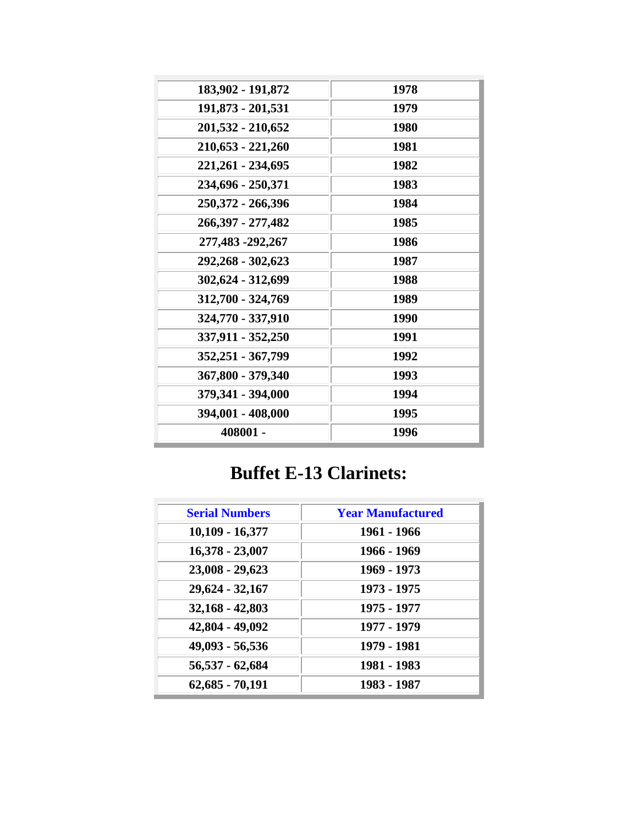| 183,902 - 191,872   | 1978 |
|---------------------|------|
| 191,873 - 201,531   | 1979 |
| 201,532 - 210,652   | 1980 |
| 210,653 - 221,260   | 1981 |
| 221,261 - 234,695   | 1982 |
| 234,696 - 250,371   | 1983 |
| 250,372 - 266,396   | 1984 |
| 266, 397 - 277, 482 | 1985 |
| 277,483 -292,267    | 1986 |
| 292,268 - 302,623   | 1987 |
| 302,624 - 312,699   | 1988 |
| 312,700 - 324,769   | 1989 |
| 324,770 - 337,910   | 1990 |
| 337,911 - 352,250   | 1991 |
| 352,251 - 367,799   | 1992 |
| 367,800 - 379,340   | 1993 |
| 379,341 - 394,000   | 1994 |
| 394,001 - 408,000   | 1995 |
| 408001 -            | 1996 |
|                     |      |

## **Buffet E-13 Clarinets:**

| <b>Serial Numbers</b> | <b>Year Manufactured</b> |
|-----------------------|--------------------------|
| $10,109 - 16,377$     | 1961 - 1966              |
| $16,378 - 23,007$     | 1966 - 1969              |
| 23,008 - 29,623       | 1969 - 1973              |
| 29,624 - 32,167       | 1973 - 1975              |
| $32,168 - 42,803$     | 1975 - 1977              |
| 42,804 - 49,092       | 1977 - 1979              |
| 49,093 - 56,536       | 1979 - 1981              |
| 56,537 - 62,684       | 1981 - 1983              |
| $62,685 - 70,191$     | 1983 - 1987              |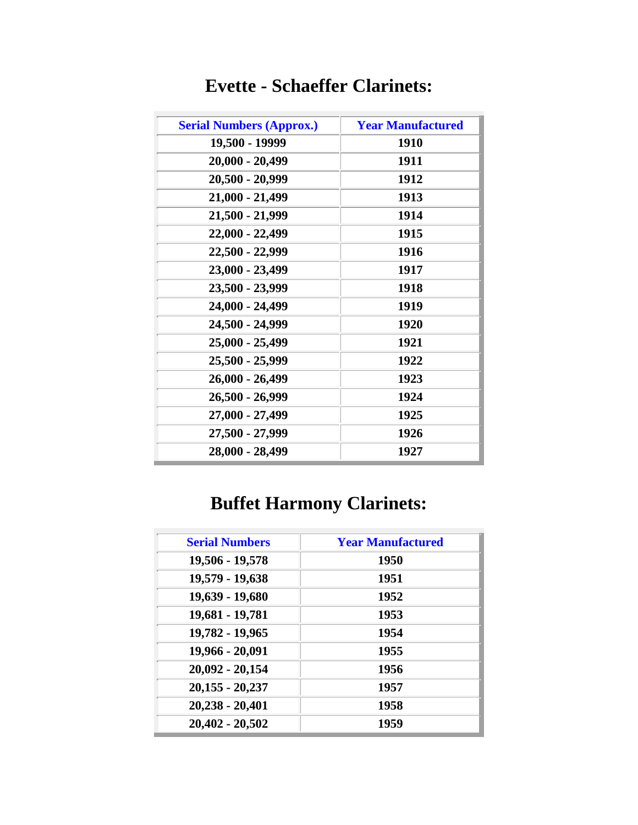| <b>Serial Numbers (Approx.)</b> | <b>Year Manufactured</b> |
|---------------------------------|--------------------------|
| 19,500 - 19999                  | 1910                     |
| 20,000 - 20,499                 | 1911                     |
| 20,500 - 20,999                 | 1912                     |
| 21,000 - 21,499                 | 1913                     |
| 21,500 - 21,999                 | 1914                     |
| 22,000 - 22,499                 | 1915                     |
| 22,500 - 22,999                 | 1916                     |
| 23,000 - 23,499                 | 1917                     |
| 23,500 - 23,999                 | 1918                     |
| 24,000 - 24,499                 | 1919                     |
| 24,500 - 24,999                 | 1920                     |
| 25,000 - 25,499                 | 1921                     |
| 25,500 - 25,999                 | 1922                     |
| 26,000 - 26,499                 | 1923                     |
| 26,500 - 26,999                 | 1924                     |
| 27,000 - 27,499                 | 1925                     |
| 27,500 - 27,999                 | 1926                     |
| 28,000 - 28,499                 | 1927                     |

### **Evette - Schaeffer Clarinets:**

# **Buffet Harmony Clarinets:**

| <b>Serial Numbers</b> | <b>Year Manufactured</b> |
|-----------------------|--------------------------|
| 19,506 - 19,578       | 1950                     |
| 19,579 - 19,638       | 1951                     |
| 19,639 - 19,680       | 1952                     |
| 19,681 - 19,781       | 1953                     |
| 19,782 - 19,965       | 1954                     |
| 19,966 - 20,091       | 1955                     |
| 20,092 - 20,154       | 1956                     |
| $20,155 - 20,237$     | 1957                     |
| 20,238 - 20,401       | 1958                     |
| $20,402 - 20,502$     | 1959                     |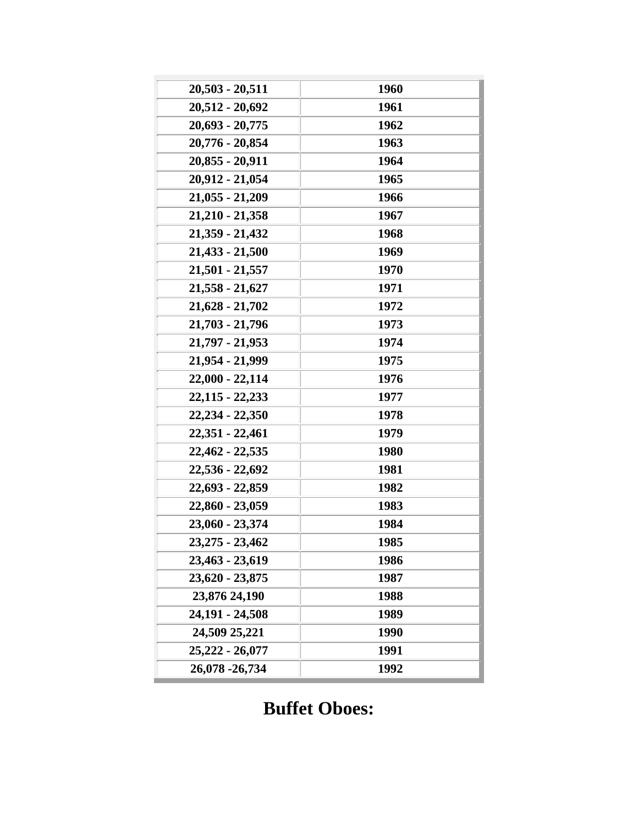| 20,512 - 20,692<br>1961<br>20,693 - 20,775<br>1962<br>20,776 - 20,854<br>1963<br>20,855 - 20,911<br>1964<br>20,912 - 21,054<br>1965<br>$21,055 - 21,209$<br>1966<br>$21,210 - 21,358$<br>1967<br>21,359 - 21,432<br>1968<br>$21,433 - 21,500$<br>1969<br>$21,501 - 21,557$<br>1970<br>$21,558 - 21,627$<br>1971<br>$21,628 - 21,702$<br>1972<br>$21,703 - 21,796$<br>1973<br>21,797 - 21,953<br>1974<br>21,954 - 21,999<br>1975<br>22,000 - 22,114<br>1976<br>$22,115 - 22,233$<br>1977<br>22,234 - 22,350<br>1978<br>22,351 - 22,461<br>1979<br>22,462 - 22,535<br>1980<br>22,536 - 22,692<br>1981<br>22,693 - 22,859<br>1982<br>22,860 - 23,059<br>1983<br>23,060 - 23,374<br>1984<br>23, 275 - 23, 462<br>1985<br>23,463 - 23,619<br>1986<br>23,620 - 23,875<br>1987<br>23,876 24,190<br>1988<br>24,191 - 24,508<br>1989<br>24,509 25,221<br>1990<br>25,222 - 26,077<br>1991<br>26,078 - 26,734<br>1992 |                   |      |
|------------------------------------------------------------------------------------------------------------------------------------------------------------------------------------------------------------------------------------------------------------------------------------------------------------------------------------------------------------------------------------------------------------------------------------------------------------------------------------------------------------------------------------------------------------------------------------------------------------------------------------------------------------------------------------------------------------------------------------------------------------------------------------------------------------------------------------------------------------------------------------------------------------|-------------------|------|
|                                                                                                                                                                                                                                                                                                                                                                                                                                                                                                                                                                                                                                                                                                                                                                                                                                                                                                            | $20,503 - 20,511$ | 1960 |
|                                                                                                                                                                                                                                                                                                                                                                                                                                                                                                                                                                                                                                                                                                                                                                                                                                                                                                            |                   |      |
|                                                                                                                                                                                                                                                                                                                                                                                                                                                                                                                                                                                                                                                                                                                                                                                                                                                                                                            |                   |      |
|                                                                                                                                                                                                                                                                                                                                                                                                                                                                                                                                                                                                                                                                                                                                                                                                                                                                                                            |                   |      |
|                                                                                                                                                                                                                                                                                                                                                                                                                                                                                                                                                                                                                                                                                                                                                                                                                                                                                                            |                   |      |
|                                                                                                                                                                                                                                                                                                                                                                                                                                                                                                                                                                                                                                                                                                                                                                                                                                                                                                            |                   |      |
|                                                                                                                                                                                                                                                                                                                                                                                                                                                                                                                                                                                                                                                                                                                                                                                                                                                                                                            |                   |      |
|                                                                                                                                                                                                                                                                                                                                                                                                                                                                                                                                                                                                                                                                                                                                                                                                                                                                                                            |                   |      |
|                                                                                                                                                                                                                                                                                                                                                                                                                                                                                                                                                                                                                                                                                                                                                                                                                                                                                                            |                   |      |
|                                                                                                                                                                                                                                                                                                                                                                                                                                                                                                                                                                                                                                                                                                                                                                                                                                                                                                            |                   |      |
|                                                                                                                                                                                                                                                                                                                                                                                                                                                                                                                                                                                                                                                                                                                                                                                                                                                                                                            |                   |      |
|                                                                                                                                                                                                                                                                                                                                                                                                                                                                                                                                                                                                                                                                                                                                                                                                                                                                                                            |                   |      |
|                                                                                                                                                                                                                                                                                                                                                                                                                                                                                                                                                                                                                                                                                                                                                                                                                                                                                                            |                   |      |
|                                                                                                                                                                                                                                                                                                                                                                                                                                                                                                                                                                                                                                                                                                                                                                                                                                                                                                            |                   |      |
|                                                                                                                                                                                                                                                                                                                                                                                                                                                                                                                                                                                                                                                                                                                                                                                                                                                                                                            |                   |      |
|                                                                                                                                                                                                                                                                                                                                                                                                                                                                                                                                                                                                                                                                                                                                                                                                                                                                                                            |                   |      |
|                                                                                                                                                                                                                                                                                                                                                                                                                                                                                                                                                                                                                                                                                                                                                                                                                                                                                                            |                   |      |
|                                                                                                                                                                                                                                                                                                                                                                                                                                                                                                                                                                                                                                                                                                                                                                                                                                                                                                            |                   |      |
|                                                                                                                                                                                                                                                                                                                                                                                                                                                                                                                                                                                                                                                                                                                                                                                                                                                                                                            |                   |      |
|                                                                                                                                                                                                                                                                                                                                                                                                                                                                                                                                                                                                                                                                                                                                                                                                                                                                                                            |                   |      |
|                                                                                                                                                                                                                                                                                                                                                                                                                                                                                                                                                                                                                                                                                                                                                                                                                                                                                                            |                   |      |
|                                                                                                                                                                                                                                                                                                                                                                                                                                                                                                                                                                                                                                                                                                                                                                                                                                                                                                            |                   |      |
|                                                                                                                                                                                                                                                                                                                                                                                                                                                                                                                                                                                                                                                                                                                                                                                                                                                                                                            |                   |      |
|                                                                                                                                                                                                                                                                                                                                                                                                                                                                                                                                                                                                                                                                                                                                                                                                                                                                                                            |                   |      |
|                                                                                                                                                                                                                                                                                                                                                                                                                                                                                                                                                                                                                                                                                                                                                                                                                                                                                                            |                   |      |
|                                                                                                                                                                                                                                                                                                                                                                                                                                                                                                                                                                                                                                                                                                                                                                                                                                                                                                            |                   |      |
|                                                                                                                                                                                                                                                                                                                                                                                                                                                                                                                                                                                                                                                                                                                                                                                                                                                                                                            |                   |      |
|                                                                                                                                                                                                                                                                                                                                                                                                                                                                                                                                                                                                                                                                                                                                                                                                                                                                                                            |                   |      |
|                                                                                                                                                                                                                                                                                                                                                                                                                                                                                                                                                                                                                                                                                                                                                                                                                                                                                                            |                   |      |
|                                                                                                                                                                                                                                                                                                                                                                                                                                                                                                                                                                                                                                                                                                                                                                                                                                                                                                            |                   |      |
|                                                                                                                                                                                                                                                                                                                                                                                                                                                                                                                                                                                                                                                                                                                                                                                                                                                                                                            |                   |      |
|                                                                                                                                                                                                                                                                                                                                                                                                                                                                                                                                                                                                                                                                                                                                                                                                                                                                                                            |                   |      |
|                                                                                                                                                                                                                                                                                                                                                                                                                                                                                                                                                                                                                                                                                                                                                                                                                                                                                                            |                   |      |

**Buffet Oboes:**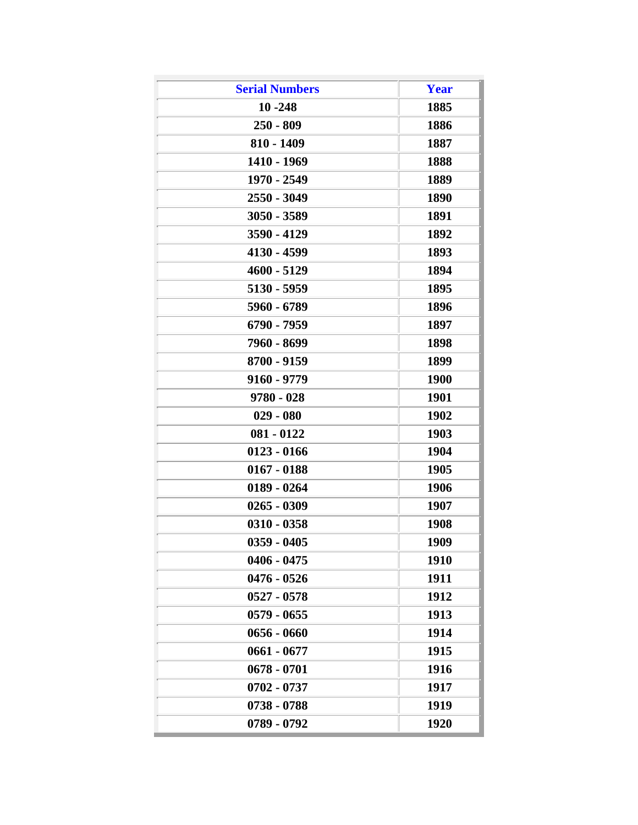| <b>Serial Numbers</b><br>Year<br>$10 - 248$<br>1885<br>$250 - 809$<br>1886<br>810 - 1409<br>1887<br>1410 - 1969<br>1888<br>1970 - 2549<br>1889<br>2550 - 3049<br><b>1890</b><br>3050 - 3589<br>1891<br>3590 - 4129<br>1892<br>4130 - 4599<br>1893<br>4600 - 5129<br>1894<br>5130 - 5959<br>1895<br>5960 - 6789<br>1896<br>6790 - 7959<br>1897<br>7960 - 8699<br>1898<br>8700 - 9159<br>1899<br>9160 - 9779<br><b>1900</b><br>$9780 - 028$<br><b>1901</b><br>$029 - 080$<br>1902<br>1903<br>$081 - 0122$<br>$0123 - 0166$<br>1904<br>1905<br>$0167 - 0188$<br>$0189 - 0264$<br>1906<br>$0265 - 0309$<br>1907<br>1908<br>$0310 - 0358$<br>$0359 - 0405$<br>1909<br>$0406 - 0475$<br><b>1910</b><br>$0476 - 0526$<br>1911<br>$0527 - 0578$<br>1912<br>1913<br>$0579 - 0655$<br>$0656 - 0660$<br>1914<br>$0661 - 0677$<br>1915<br>$0678 - 0701$<br>1916<br>0702 - 0737<br>1917<br>1919<br>0738 - 0788 |             |      |
|---------------------------------------------------------------------------------------------------------------------------------------------------------------------------------------------------------------------------------------------------------------------------------------------------------------------------------------------------------------------------------------------------------------------------------------------------------------------------------------------------------------------------------------------------------------------------------------------------------------------------------------------------------------------------------------------------------------------------------------------------------------------------------------------------------------------------------------------------------------------------------------------------|-------------|------|
|                                                                                                                                                                                                                                                                                                                                                                                                                                                                                                                                                                                                                                                                                                                                                                                                                                                                                                   |             |      |
|                                                                                                                                                                                                                                                                                                                                                                                                                                                                                                                                                                                                                                                                                                                                                                                                                                                                                                   |             |      |
|                                                                                                                                                                                                                                                                                                                                                                                                                                                                                                                                                                                                                                                                                                                                                                                                                                                                                                   |             |      |
|                                                                                                                                                                                                                                                                                                                                                                                                                                                                                                                                                                                                                                                                                                                                                                                                                                                                                                   |             |      |
|                                                                                                                                                                                                                                                                                                                                                                                                                                                                                                                                                                                                                                                                                                                                                                                                                                                                                                   |             |      |
|                                                                                                                                                                                                                                                                                                                                                                                                                                                                                                                                                                                                                                                                                                                                                                                                                                                                                                   |             |      |
|                                                                                                                                                                                                                                                                                                                                                                                                                                                                                                                                                                                                                                                                                                                                                                                                                                                                                                   |             |      |
|                                                                                                                                                                                                                                                                                                                                                                                                                                                                                                                                                                                                                                                                                                                                                                                                                                                                                                   |             |      |
|                                                                                                                                                                                                                                                                                                                                                                                                                                                                                                                                                                                                                                                                                                                                                                                                                                                                                                   |             |      |
|                                                                                                                                                                                                                                                                                                                                                                                                                                                                                                                                                                                                                                                                                                                                                                                                                                                                                                   |             |      |
|                                                                                                                                                                                                                                                                                                                                                                                                                                                                                                                                                                                                                                                                                                                                                                                                                                                                                                   |             |      |
|                                                                                                                                                                                                                                                                                                                                                                                                                                                                                                                                                                                                                                                                                                                                                                                                                                                                                                   |             |      |
|                                                                                                                                                                                                                                                                                                                                                                                                                                                                                                                                                                                                                                                                                                                                                                                                                                                                                                   |             |      |
|                                                                                                                                                                                                                                                                                                                                                                                                                                                                                                                                                                                                                                                                                                                                                                                                                                                                                                   |             |      |
|                                                                                                                                                                                                                                                                                                                                                                                                                                                                                                                                                                                                                                                                                                                                                                                                                                                                                                   |             |      |
|                                                                                                                                                                                                                                                                                                                                                                                                                                                                                                                                                                                                                                                                                                                                                                                                                                                                                                   |             |      |
|                                                                                                                                                                                                                                                                                                                                                                                                                                                                                                                                                                                                                                                                                                                                                                                                                                                                                                   |             |      |
|                                                                                                                                                                                                                                                                                                                                                                                                                                                                                                                                                                                                                                                                                                                                                                                                                                                                                                   |             |      |
|                                                                                                                                                                                                                                                                                                                                                                                                                                                                                                                                                                                                                                                                                                                                                                                                                                                                                                   |             |      |
|                                                                                                                                                                                                                                                                                                                                                                                                                                                                                                                                                                                                                                                                                                                                                                                                                                                                                                   |             |      |
|                                                                                                                                                                                                                                                                                                                                                                                                                                                                                                                                                                                                                                                                                                                                                                                                                                                                                                   |             |      |
|                                                                                                                                                                                                                                                                                                                                                                                                                                                                                                                                                                                                                                                                                                                                                                                                                                                                                                   |             |      |
|                                                                                                                                                                                                                                                                                                                                                                                                                                                                                                                                                                                                                                                                                                                                                                                                                                                                                                   |             |      |
|                                                                                                                                                                                                                                                                                                                                                                                                                                                                                                                                                                                                                                                                                                                                                                                                                                                                                                   |             |      |
|                                                                                                                                                                                                                                                                                                                                                                                                                                                                                                                                                                                                                                                                                                                                                                                                                                                                                                   |             |      |
|                                                                                                                                                                                                                                                                                                                                                                                                                                                                                                                                                                                                                                                                                                                                                                                                                                                                                                   |             |      |
|                                                                                                                                                                                                                                                                                                                                                                                                                                                                                                                                                                                                                                                                                                                                                                                                                                                                                                   |             |      |
|                                                                                                                                                                                                                                                                                                                                                                                                                                                                                                                                                                                                                                                                                                                                                                                                                                                                                                   |             |      |
|                                                                                                                                                                                                                                                                                                                                                                                                                                                                                                                                                                                                                                                                                                                                                                                                                                                                                                   |             |      |
|                                                                                                                                                                                                                                                                                                                                                                                                                                                                                                                                                                                                                                                                                                                                                                                                                                                                                                   |             |      |
|                                                                                                                                                                                                                                                                                                                                                                                                                                                                                                                                                                                                                                                                                                                                                                                                                                                                                                   |             |      |
|                                                                                                                                                                                                                                                                                                                                                                                                                                                                                                                                                                                                                                                                                                                                                                                                                                                                                                   |             |      |
|                                                                                                                                                                                                                                                                                                                                                                                                                                                                                                                                                                                                                                                                                                                                                                                                                                                                                                   |             |      |
|                                                                                                                                                                                                                                                                                                                                                                                                                                                                                                                                                                                                                                                                                                                                                                                                                                                                                                   |             |      |
|                                                                                                                                                                                                                                                                                                                                                                                                                                                                                                                                                                                                                                                                                                                                                                                                                                                                                                   |             |      |
|                                                                                                                                                                                                                                                                                                                                                                                                                                                                                                                                                                                                                                                                                                                                                                                                                                                                                                   | 0789 - 0792 | 1920 |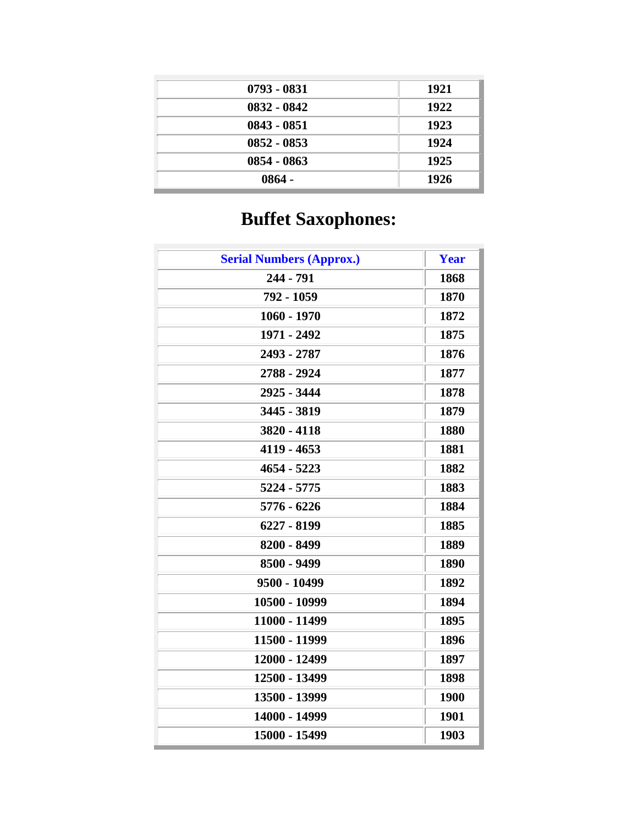| 0793 - 0831   | 1921 |
|---------------|------|
| 0832 - 0842   | 1922 |
| $0843 - 0851$ | 1923 |
| $0852 - 0853$ | 1924 |
| $0854 - 0863$ | 1925 |
| $0864 -$      | 1926 |

# **Buffet Saxophones:**

| <b>Serial Numbers (Approx.)</b> | Year |
|---------------------------------|------|
| 244 - 791                       | 1868 |
| 792 - 1059                      | 1870 |
| $1060 - 1970$                   | 1872 |
| 1971 - 2492                     | 1875 |
| 2493 - 2787                     | 1876 |
| 2788 - 2924                     | 1877 |
| 2925 - 3444                     | 1878 |
| 3445 - 3819                     | 1879 |
| 3820 - 4118                     | 1880 |
| 4119 - 4653                     | 1881 |
| 4654 - 5223                     | 1882 |
| 5224 - 5775                     | 1883 |
| 5776 - 6226                     | 1884 |
| 6227 - 8199                     | 1885 |
| 8200 - 8499                     | 1889 |
| 8500 - 9499                     | 1890 |
| 9500 - 10499                    | 1892 |
| 10500 - 10999                   | 1894 |
| 11000 - 11499                   | 1895 |
| 11500 - 11999                   | 1896 |
| 12000 - 12499                   | 1897 |
| 12500 - 13499                   | 1898 |
| 13500 - 13999                   | 1900 |
| 14000 - 14999                   | 1901 |
| 15000 - 15499                   | 1903 |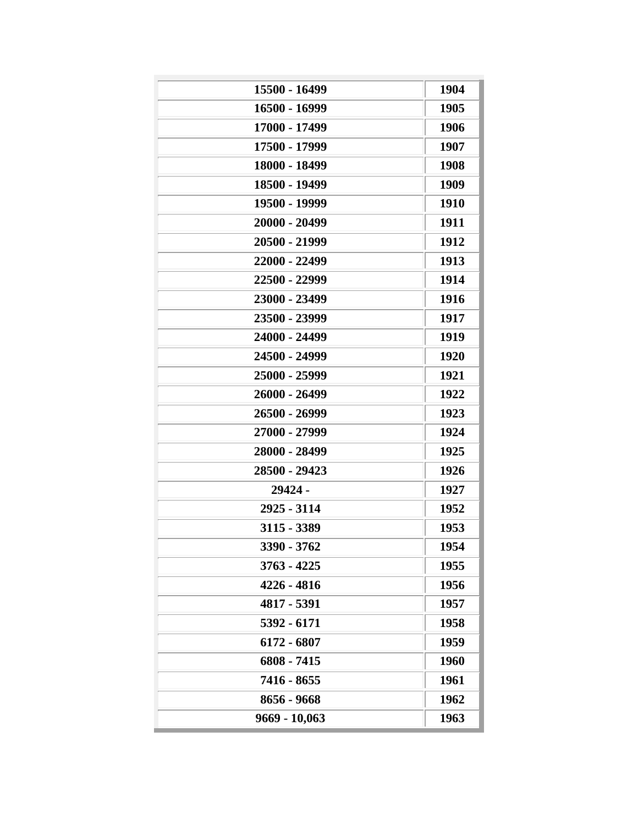| 15500 - 16499<br>16500 - 16999<br>17000 - 17499<br>17500 - 17999<br>18000 - 18499 | 1904<br>1905<br>1906 |
|-----------------------------------------------------------------------------------|----------------------|
|                                                                                   |                      |
|                                                                                   |                      |
|                                                                                   |                      |
|                                                                                   | 1907                 |
|                                                                                   | 1908                 |
| 18500 - 19499                                                                     | 1909                 |
| 19500 - 19999                                                                     | 1910                 |
| 20000 - 20499                                                                     | 1911                 |
| 20500 - 21999                                                                     | 1912                 |
| 22000 - 22499                                                                     | 1913                 |
| 22500 - 22999                                                                     | 1914                 |
| 23000 - 23499                                                                     | 1916                 |
| 23500 - 23999                                                                     | 1917                 |
| 24000 - 24499                                                                     | 1919                 |
| 24500 - 24999                                                                     | 1920                 |
| 25000 - 25999                                                                     | 1921                 |
| 26000 - 26499                                                                     | 1922                 |
| 26500 - 26999                                                                     | 1923                 |
| 27000 - 27999                                                                     | 1924                 |
| 28000 - 28499                                                                     | 1925                 |
| 28500 - 29423                                                                     | 1926                 |
| 29424 -                                                                           | 1927                 |
| 2925 - 3114                                                                       | 1952                 |
| 3115 - 3389                                                                       | 1953                 |
| 3390 - 3762                                                                       | 1954                 |
| $3763 - 4225$                                                                     | 1955                 |
| 4226 - 4816                                                                       | 1956                 |
| 4817 - 5391                                                                       | 1957                 |
| 5392 - 6171                                                                       | 1958                 |
| 6172 - 6807                                                                       | 1959                 |
| 6808 - 7415                                                                       | 1960                 |
| 7416 - 8655                                                                       | 1961                 |
|                                                                                   |                      |
| 8656 - 9668                                                                       | 1962                 |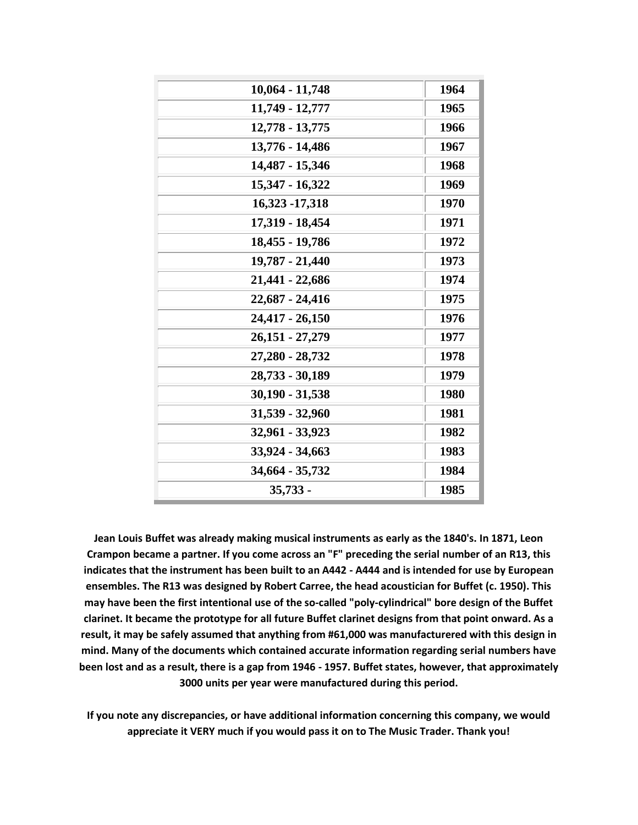| 10,064 - 11,748   | 1964 |
|-------------------|------|
| 11,749 - 12,777   | 1965 |
| 12,778 - 13,775   | 1966 |
| 13,776 - 14,486   | 1967 |
| 14,487 - 15,346   | 1968 |
| 15,347 - 16,322   | 1969 |
| 16,323 - 17,318   | 1970 |
| 17,319 - 18,454   | 1971 |
| 18,455 - 19,786   | 1972 |
| 19,787 - 21,440   | 1973 |
| 21,441 - 22,686   | 1974 |
| 22,687 - 24,416   | 1975 |
| 24,417 - 26,150   | 1976 |
| 26,151 - 27,279   | 1977 |
| 27,280 - 28,732   | 1978 |
| 28,733 - 30,189   | 1979 |
| $30,190 - 31,538$ | 1980 |
| 31,539 - 32,960   | 1981 |
| 32,961 - 33,923   | 1982 |
| 33,924 - 34,663   | 1983 |
| 34,664 - 35,732   | 1984 |
| $35,733 -$        | 1985 |

**Jean Louis Buffet was already making musical instruments as early as the 1840's. In 1871, Leon Crampon became a partner. If you come across an "F" preceding the serial number of an R13, this indicates that the instrument has been built to an A442 - A444 and is intended for use by European ensembles. The R13 was designed by Robert Carree, the head acoustician for Buffet (c. 1950). This may have been the first intentional use of the so-called "poly-cylindrical" bore design of the Buffet clarinet. It became the prototype for all future Buffet clarinet designs from that point onward. As a result, it may be safely assumed that anything from #61,000 was manufacturered with this design in mind. Many of the documents which contained accurate information regarding serial numbers have been lost and as a result, there is a gap from 1946 - 1957. Buffet states, however, that approximately 3000 units per year were manufactured during this period.**

**If you note any discrepancies, or have additional information concerning this company, we would appreciate it VERY much if you would pass it on to The Music Trader. Thank you!**